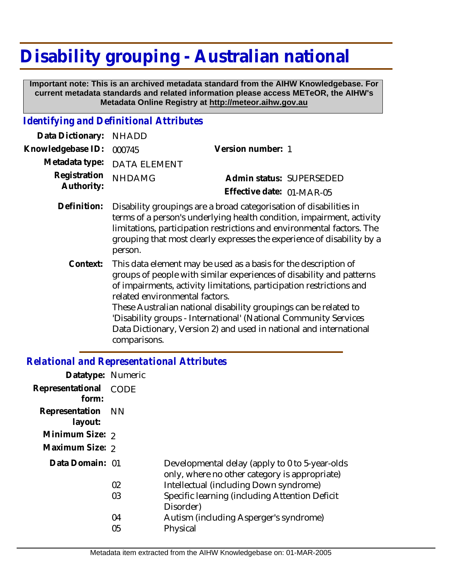## **Disability grouping - Australian national**

 **Important note: This is an archived metadata standard from the AIHW Knowledgebase. For current metadata standards and related information please access METeOR, the AIHW's Metadata Online Registry at http://meteor.aihw.gov.au**

## *Identifying and Definitional Attributes*

| Data Dictionary: NHADD            |                                                                               |                           |                          |
|-----------------------------------|-------------------------------------------------------------------------------|---------------------------|--------------------------|
| Knowledgebase ID: 000745          |                                                                               | Version number: 1         |                          |
|                                   | Metadata type: DATA ELEMENT                                                   |                           |                          |
| Registration NHDAMG<br>Authority: |                                                                               |                           | Admin status: SUPERSEDED |
|                                   |                                                                               | Effective date: 01-MAR-05 |                          |
|                                   | Definition Disability arounings are a broad categorisation of disabilities in |                           |                          |

- Disability groupings are a broad categorisation of disabilities in terms of a person's underlying health condition, impairment, activity limitations, participation restrictions and environmental factors. The grouping that most clearly expresses the experience of disability by a person. **Definition:**
	- This data element may be used as a basis for the description of groups of people with similar experiences of disability and patterns of impairments, activity limitations, participation restrictions and related environmental factors. These Australian national disability groupings can be related to 'Disability groups - International' (National Community Services Data Dictionary, Version 2) and used in national and international comparisons. **Context:**

## *Relational and Representational Attributes*

| Datatype: Numeric         |      |                                                                                                 |
|---------------------------|------|-------------------------------------------------------------------------------------------------|
| Representational<br>form: | CODE |                                                                                                 |
| Representation<br>layout: | - NN |                                                                                                 |
| Minimum Size: 2           |      |                                                                                                 |
| Maximum Size: 2           |      |                                                                                                 |
| Data Domain: 01           |      | Developmental delay (apply to 0 to 5-year-olds<br>only, where no other category is appropriate) |
|                           | 02   | Intellectual (including Down syndrome)                                                          |
|                           | 03   | Specific learning (including Attention Deficit<br>Disorder)                                     |
|                           | 04   | Autism (including Asperger's syndrome)                                                          |
|                           | 05   | Physical                                                                                        |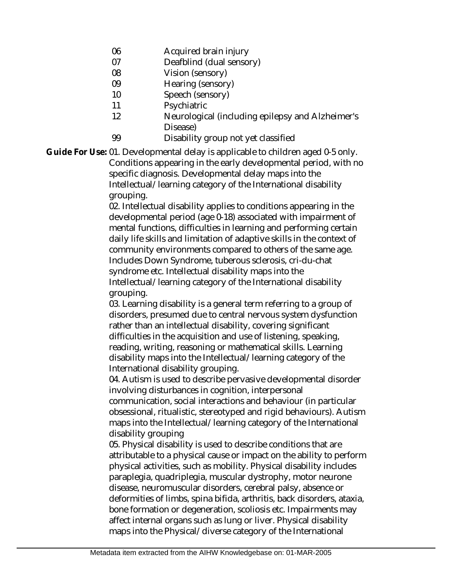- 06 Acquired brain injury
- 07 Deafblind (dual sensory)
- 08 Vision (sensory)
- 09 Hearing (sensory)
- 10 Speech (sensory)
- 11 **Psychiatric**
- 12 Neurological (including epilepsy and Alzheimer's Disease)
- 99 Disability group not yet classified

Guide For Use: 01. Developmental delay is applicable to children aged 0-5 only. Conditions appearing in the early developmental period, with no specific diagnosis. Developmental delay maps into the Intellectual/learning category of the International disability grouping.

> 02. Intellectual disability applies to conditions appearing in the developmental period (age 0-18) associated with impairment of mental functions, difficulties in learning and performing certain daily life skills and limitation of adaptive skills in the context of community environments compared to others of the same age. Includes Down Syndrome, tuberous sclerosis, cri-du-chat syndrome etc. Intellectual disability maps into the Intellectual/learning category of the International disability grouping.

> 03. Learning disability is a general term referring to a group of disorders, presumed due to central nervous system dysfunction rather than an intellectual disability, covering significant difficulties in the acquisition and use of listening, speaking, reading, writing, reasoning or mathematical skills. Learning disability maps into the Intellectual/learning category of the International disability grouping.

04. Autism is used to describe pervasive developmental disorder involving disturbances in cognition, interpersonal

communication, social interactions and behaviour (in particular obsessional, ritualistic, stereotyped and rigid behaviours). Autism maps into the Intellectual/learning category of the International disability grouping

05. Physical disability is used to describe conditions that are attributable to a physical cause or impact on the ability to perform physical activities, such as mobility. Physical disability includes paraplegia, quadriplegia, muscular dystrophy, motor neurone disease, neuromuscular disorders, cerebral palsy, absence or deformities of limbs, spina bifida, arthritis, back disorders, ataxia, bone formation or degeneration, scoliosis etc. Impairments may affect internal organs such as lung or liver. Physical disability maps into the Physical/diverse category of the International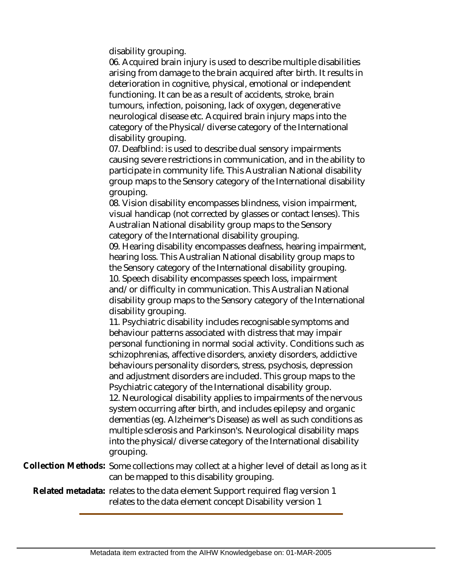disability grouping.

06. Acquired brain injury is used to describe multiple disabilities arising from damage to the brain acquired after birth. It results in deterioration in cognitive, physical, emotional or independent functioning. It can be as a result of accidents, stroke, brain tumours, infection, poisoning, lack of oxygen, degenerative neurological disease etc. Acquired brain injury maps into the category of the Physical/diverse category of the International disability grouping.

07. Deafblind: is used to describe dual sensory impairments causing severe restrictions in communication, and in the ability to participate in community life. This Australian National disability group maps to the Sensory category of the International disability grouping.

08. Vision disability encompasses blindness, vision impairment, visual handicap (not corrected by glasses or contact lenses). This Australian National disability group maps to the Sensory category of the International disability grouping.

09. Hearing disability encompasses deafness, hearing impairment, hearing loss. This Australian National disability group maps to the Sensory category of the International disability grouping. 10. Speech disability encompasses speech loss, impairment and/or difficulty in communication. This Australian National disability group maps to the Sensory category of the International disability grouping.

11. Psychiatric disability includes recognisable symptoms and behaviour patterns associated with distress that may impair personal functioning in normal social activity. Conditions such as schizophrenias, affective disorders, anxiety disorders, addictive behaviours personality disorders, stress, psychosis, depression and adjustment disorders are included. This group maps to the Psychiatric category of the International disability group.

12. Neurological disability applies to impairments of the nervous system occurring after birth, and includes epilepsy and organic dementias (eg. Alzheimer's Disease) as well as such conditions as multiple sclerosis and Parkinson's. Neurological disability maps into the physical/diverse category of the International disability grouping.

Collection Methods: Some collections may collect at a higher level of detail as long as it can be mapped to this disability grouping.

Related metadata: relates to the data element Support required flag version 1 relates to the data element concept Disability version 1